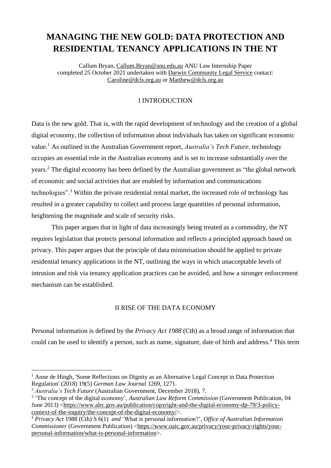# **MANAGING THE NEW GOLD: DATA PROTECTION AND RESIDENTIAL TENANCY APPLICATIONS IN THE NT**

Callum Bryan, [Callum.Bryan@anu.edu.au](mailto:Callum.Bryan@anu.edu.au) ANU Law Internship Paper completed 25 October 2021 undertaken with Darwin [Community](http://www.dcls.org.au/) Legal Service contact: [Caroline@dcls.org.au](mailto:Caroline@dcls.org.au) or [Matthew@dcls.org.au](mailto:Matthew@dcls.org.au)

# I INTRODUCTION

Data is the new gold. That is, with the rapid development of technology and the creation of a global digital economy, the collection of information about individuals has taken on significant economic value.<sup>1</sup> As outlined in the Australian Government report, *Australia's Tech Future*, technology occupies an essential role in the Australian economy and is set to increase substantially over the years.<sup>2</sup> The digital economy has been defined by the Australian government as "the global network of economic and social activities that are enabled by information and communications technologies".<sup>3</sup> Within the private residential rental market, the increased role of technology has resulted in a greater capability to collect and process large quantities of personal information, heightening the magnitude and scale of security risks.

This paper argues that in light of data increasingly being treated as a commodity, the NT requires legislation that protects personal information and reflects a principled approach based on privacy. This paper argues that the principle of data minimisation should be applied to private residential tenancy applications in the NT, outlining the ways in which unacceptable levels of intrusion and risk via tenancy application practices can be avoided, and how a stronger enforcement mechanism can be established.

## II RISE OF THE DATA ECONOMY

Personal information is defined by the *Privacy Act 1988* (Cth) as a broad range of information that could can be used to identify a person, such as name, signature, date of birth and address.<sup>4</sup> This term

<sup>&</sup>lt;sup>1</sup> Anne de Hingh, 'Some Reflections on Dignity as an Alternative Legal Concept in Data Protection Regulation' (2018) 19(5) *German Law Journal* 1269, 1271.

<sup>2</sup> *Australia's Tech Future* (Australian Government, December 2018), 7.

<sup>3</sup> 'The concept of the digital economy', *Australian Law Reform Commission* (Government Publication, 04 June 2013) [<https://www.alrc.gov.au/publication/copyright-and-the-digital-economy-dp-79/3-policy](https://www.alrc.gov.au/publication/copyright-and-the-digital-economy-dp-79/3-policy-context-of-the-inquiry/the-concept-of-the-digital-economy/)[context-of-the-inquiry/the-concept-of-the-digital-economy/>](https://www.alrc.gov.au/publication/copyright-and-the-digital-economy-dp-79/3-policy-context-of-the-inquiry/the-concept-of-the-digital-economy/).

<sup>4</sup> *Privacy Act* 1988 (Cth) S 6(1) *and* 'What is personal information?', *Office of Australian Information Commissioner* (Government Publication) [<https://www.oaic.gov.au/privacy/your-privacy-rights/your](https://www.oaic.gov.au/privacy/your-privacy-rights/your-personal-information/what-is-personal-information)[personal-information/what-is-personal-information>](https://www.oaic.gov.au/privacy/your-privacy-rights/your-personal-information/what-is-personal-information).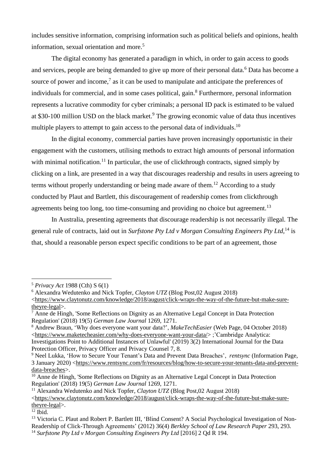includes sensitive information, comprising information such as political beliefs and opinions, health information, sexual orientation and more.<sup>5</sup>

The digital economy has generated a paradigm in which, in order to gain access to goods and services, people are being demanded to give up more of their personal data.<sup>6</sup> Data has become a source of power and income, $7$  as it can be used to manipulate and anticipate the preferences of individuals for commercial, and in some cases political, gain.<sup>8</sup> Furthermore, personal information represents a lucrative commodity for cyber criminals; a personal ID pack is estimated to be valued at \$30-100 million USD on the black market.<sup>9</sup> The growing economic value of data thus incentives multiple players to attempt to gain access to the personal data of individuals.<sup>10</sup>

In the digital economy, commercial parties have proven increasingly opportunistic in their engagement with the customers, utilising methods to extract high amounts of personal information with minimal notification.<sup>11</sup> In particular, the use of clickthrough contracts, signed simply by clicking on a link, are presented in a way that discourages readership and results in users agreeing to terms without properly understanding or being made aware of them.<sup>12</sup> According to a study conducted by Plaut and Bartlett, this discouragement of readership comes from clickthrough agreements being too long, too time-consuming and providing no choice but agreement.<sup>13</sup>

In Australia, presenting agreements that discourage readership is not necessarily illegal. The general rule of contracts, laid out in *Surfstone Pty Ltd v Morgan Consulting Engineers Pty Ltd,*<sup>14</sup> is that, should a reasonable person expect specific conditions to be part of an agreement, those

<sup>5</sup> *Privacy Act* 1988 (Cth) S 6(1)

<sup>6</sup> Alexandra Wedutenko and Nick Topfer, *Clayton UTZ* (Blog Post,02 August 2018)

[<sup>&</sup>lt;https://www.claytonutz.com/knowledge/2018/august/click-wraps-the-way-of-the-future-but-make-sure](https://www.claytonutz.com/knowledge/2018/august/click-wraps-the-way-of-the-future-but-make-sure-theyre-legal)[theyre-legal>](https://www.claytonutz.com/knowledge/2018/august/click-wraps-the-way-of-the-future-but-make-sure-theyre-legal).

 $\frac{7}{4}$  Anne de Hingh, 'Some Reflections on Dignity as an Alternative Legal Concept in Data Protection Regulation' (2018) 19(5) *German Law Journal* 1269, 1271.

<sup>8</sup> Andrew Braun, 'Why does everyone want your data?', *MakeTechEasier* (Web Page, 04 October 2018) [<https://www.maketecheasier.com/why-does-everyone-want-your-data/>](https://www.maketecheasier.com/why-does-everyone-want-your-data/) ;'Cambridge Analytica: Investigations Point to Additional Instances of Unlawful' (2019) 3(2) International Journal for the Data Protection Officer, Privacy Officer and Privacy Counsel 7, 8.

<sup>9</sup> Neel Lukka, 'How to Secure Your Tenant's Data and Prevent Data Breaches', *rentsync* (Information Page, 3 January 2020) [<https://www.rentsync.com/fr/resources/blog/how-to-secure-your-tenants-data-and-prevent](https://www.rentsync.com/fr/resources/blog/how-to-secure-your-tenants-data-and-prevent-data-breaches)[data-breaches>](https://www.rentsync.com/fr/resources/blog/how-to-secure-your-tenants-data-and-prevent-data-breaches).

<sup>&</sup>lt;sup>10</sup> Anne de Hingh, 'Some Reflections on Dignity as an Alternative Legal Concept in Data Protection Regulation' (2018) 19(5) *German Law Journal* 1269, 1271.

<sup>11</sup> Alexandra Wedutenko and Nick Topfer, *Clayton UTZ* (Blog Post,02 August 2018)

[<sup>&</sup>lt;https://www.claytonutz.com/knowledge/2018/august/click-wraps-the-way-of-the-future-but-make-sure](https://www.claytonutz.com/knowledge/2018/august/click-wraps-the-way-of-the-future-but-make-sure-theyre-legal)[theyre-legal>](https://www.claytonutz.com/knowledge/2018/august/click-wraps-the-way-of-the-future-but-make-sure-theyre-legal).

 $12$  Ibid.

<sup>&</sup>lt;sup>13</sup> Victoria C. Plaut and Robert P. Bartlett III, 'Blind Consent? A Social Psychological Investigation of Non-Readership of Click-Through Agreements' (2012) 36(4) *Berkley School of Law Research Paper* 293, 293. <sup>14</sup> *Surfstone Pty Ltd v Morgan Consulting Engineers Pty Ltd* [2016] 2 Qd R 194.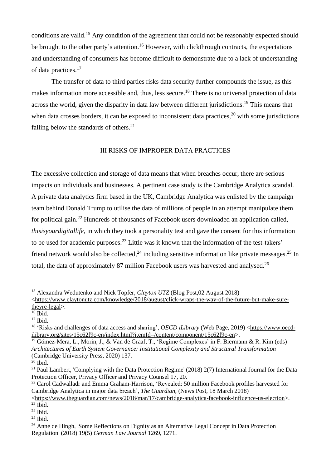conditions are valid.<sup>15</sup> Any condition of the agreement that could not be reasonably expected should be brought to the other party's attention.<sup>16</sup> However, with clickthrough contracts, the expectations and understanding of consumers has become difficult to demonstrate due to a lack of understanding of data practices.<sup>17</sup>

The transfer of data to third parties risks data security further compounds the issue, as this makes information more accessible and, thus, less secure.<sup>18</sup> There is no universal protection of data across the world, given the disparity in data law between different jurisdictions.<sup>19</sup> This means that when data crosses borders, it can be exposed to inconsistent data practices,  $^{20}$  with some jurisdictions falling below the standards of others. $21$ 

### III RISKS OF IMPROPER DATA PRACTICES

The excessive collection and storage of data means that when breaches occur, there are serious impacts on individuals and businesses. A pertinent case study is the Cambridge Analytica scandal. A private data analytics firm based in the UK, Cambridge Analytica was enlisted by the campaign team behind Donald Trump to utilise the data of millions of people in an attempt manipulate them for political gain.<sup>22</sup> Hundreds of thousands of Facebook users downloaded an application called, *thisisyourdigitallife*, in which they took a personality test and gave the consent for this information to be used for academic purposes.<sup>23</sup> Little was it known that the information of the test-takers' friend network would also be collected,  $24$  including sensitive information like private messages.  $25$  In total, the data of approximately 87 million Facebook users was harvested and analysed.<sup>26</sup>

<sup>15</sup> Alexandra Wedutenko and Nick Topfer, *Clayton UTZ* (Blog Post,02 August 2018)

[<sup>&</sup>lt;https://www.claytonutz.com/knowledge/2018/august/click-wraps-the-way-of-the-future-but-make-sure](https://www.claytonutz.com/knowledge/2018/august/click-wraps-the-way-of-the-future-but-make-sure-theyre-legal)[theyre-legal>](https://www.claytonutz.com/knowledge/2018/august/click-wraps-the-way-of-the-future-but-make-sure-theyre-legal).

 $16$  Ibid.

 $17$  Ibid.

<sup>18</sup> 'Risks and challenges of data access and sharing', *OECD iLibrary* (Web Page, 2019) [<https://www.oecd](https://www.oecd-ilibrary.org/sites/15c62f9c-en/index.html?itemId=/content/component/15c62f9c-en)[ilibrary.org/sites/15c62f9c-en/index.html?itemId=/content/component/15c62f9c-en>](https://www.oecd-ilibrary.org/sites/15c62f9c-en/index.html?itemId=/content/component/15c62f9c-en).

<sup>&</sup>lt;sup>19</sup> Gómez-Mera, L., Morin, J., & Van de Graaf, T., 'Regime Complexes' in F. Biermann & R. Kim (eds) *Architectures of Earth System Governance: Institutional Complexity and Structural Transformation* (Cambridge University Press, 2020) 137.

 $20$  Ibid.

<sup>&</sup>lt;sup>21</sup> Paul Lambert, 'Complying with the Data Protection Regime' (2018) 2(7) International Journal for the Data Protection Officer, Privacy Officer and Privacy Counsel 17, 20.

<sup>&</sup>lt;sup>22</sup> Carol Cadwalladr and Emma Graham-Harrison, 'Revealed: 50 million Facebook profiles harvested for Cambridge Analytica in major data breach', *The Guardian*, (News Post, 18 March 2018)

[<sup>&</sup>lt;https://www.theguardian.com/news/2018/mar/17/cambridge-analytica-facebook-influence-us-election>](https://www.theguardian.com/news/2018/mar/17/cambridge-analytica-facebook-influence-us-election).  $23$  Ibid.

 $24$  Ibid.

 $25$  Ibid.

<sup>&</sup>lt;sup>26</sup> Anne de Hingh, 'Some Reflections on Dignity as an Alternative Legal Concept in Data Protection Regulation' (2018) 19(5) *German Law Journal* 1269, 1271.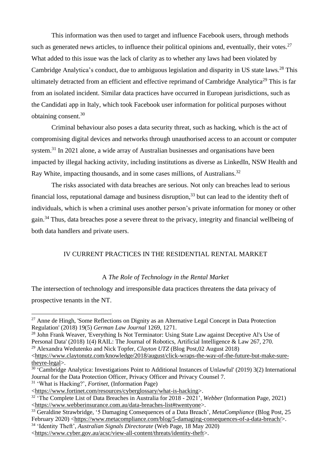This information was then used to target and influence Facebook users, through methods such as generated news articles, to influence their political opinions and, eventually, their votes.  $27$ What added to this issue was the lack of clarity as to whether any laws had been violated by Cambridge Analytica's conduct, due to ambiguous legislation and disparity in US state laws.<sup>28</sup> This ultimately detracted from an efficient and effective reprimand of Cambridge Analytica<sup>29</sup> This is far from an isolated incident. Similar data practices have occurred in European jurisdictions, such as the Candidati app in Italy, which took Facebook user information for political purposes without obtaining consent.<sup>30</sup>

Criminal behaviour also poses a data security threat, such as hacking, which is the act of compromising digital devices and networks through unauthorised access to an account or computer system.<sup>31</sup> In 2021 alone, a wide array of Australian businesses and organisations have been impacted by illegal hacking activity, including institutions as diverse as LinkedIn, NSW Health and Ray White, impacting thousands, and in some cases millions, of Australians.<sup>32</sup>

The risks associated with data breaches are serious. Not only can breaches lead to serious financial loss, reputational damage and business disruption,<sup>33</sup> but can lead to the identity theft of individuals, which is when a criminal uses another person's private information for money or other gain.<sup>34</sup> Thus, data breaches pose a severe threat to the privacy, integrity and financial wellbeing of both data handlers and private users.

# IV CURRENT PRACTICES IN THE RESIDENTIAL RENTAL MARKET

## A *The Role of Technology in the Rental Market*

The intersection of technology and irresponsible data practices threatens the data privacy of prospective tenants in the NT.

<sup>28</sup> John Frank Weaver, 'Everything Is Not Terminator: Using State Law against Deceptive Al's Use of Personal Data' (2018) 1(4) RAIL: The Journal of Robotics, Artificial Intelligence & Law 267, 270. <sup>29</sup> Alexandra Wedutenko and Nick Topfer, *Clayton UTZ* (Blog Post,02 August 2018)

[<https://www.claytonutz.com/knowledge/2018/august/click-wraps-the-way-of-the-future-but-make-sure](https://www.claytonutz.com/knowledge/2018/august/click-wraps-the-way-of-the-future-but-make-sure-theyre-legal)[theyre-legal>](https://www.claytonutz.com/knowledge/2018/august/click-wraps-the-way-of-the-future-but-make-sure-theyre-legal).

<sup>30</sup> 'Cambridge Analytica: Investigations Point to Additional Instances of Unlawful' (2019) 3(2) International Journal for the Data Protection Officer, Privacy Officer and Privacy Counsel 7.

<sup>31</sup> 'What is Hacking?', *Fortinet*, (Information Page)

<sup>34</sup> 'Identity Theft', *Australian Signals Directorate* (Web Page, 18 May 2020)

 $27$  Anne de Hingh, 'Some Reflections on Dignity as an Alternative Legal Concept in Data Protection Regulation' (2018) 19(5) *German Law Journal* 1269, 1271.

[<sup>&</sup>lt;https://www.fortinet.com/resources/cyberglossary/what-is-hacking>](https://www.fortinet.com/resources/cyberglossary/what-is-hacking).

<sup>32</sup> 'The Complete List of Data Breaches in Australia for 2018 - 2021', *Webber* (Information Page, 2021) [<https://www.webberinsurance.com.au/data-breaches-list#twentyone>](https://www.webberinsurance.com.au/data-breaches-list#twentyone).

<sup>33</sup> Geraldine Strawbridge, '5 Damaging Consequences of a Data Breach', *MetaCompliance* (Blog Post, 25 February 2020) [<https://www.metacompliance.com/blog/5-damaging-consequences-of-a-data-breach/>](https://www.metacompliance.com/blog/5-damaging-consequences-of-a-data-breach/).

[<sup>&</sup>lt;https://www.cyber.gov.au/acsc/view-all-content/threats/identity-theft>](https://www.cyber.gov.au/acsc/view-all-content/threats/identity-theft).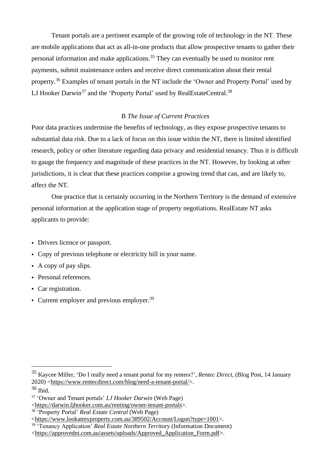Tenant portals are a pertinent example of the growing role of technology in the NT. These are mobile applications that act as all-in-one products that allow prospective tenants to gather their personal information and make applications.<sup>35</sup> They can eventually be used to monitor rent payments, submit maintenance orders and receive direct communication about their rental property.<sup>36</sup> Examples of tenant portals in the NT include the 'Owner and Property Portal' used by LJ Hooker Darwin<sup>37</sup> and the 'Property Portal' used by RealEstateCentral.<sup>38</sup>

# B *The Issue of Current Practices*

Poor data practices undermine the benefits of technology, as they expose prospective tenants to substantial data risk. Due to a lack of focus on this issue within the NT, there is limited identified research, policy or other literature regarding data privacy and residential tenancy. Thus it is difficult to gauge the frequency and magnitude of these practices in the NT. However, by looking at other jurisdictions, it is clear that these practices comprise a growing trend that can, and are likely to, affect the NT.

One practice that is certainly occurring in the Northern Territory is the demand of extensive personal information at the application stage of property negotiations. RealEstate NT asks applicants to provide:

- Drivers licence *or* passport.
- Copy of previous telephone or electricity bill in your name.
- A copy of pay slips.
- Personal references.
- Car registration.
- Current employer and previous employer.<sup>39</sup>

<sup>35</sup> Kaycee Miller, 'Do I really need a tenant portal for my renters?', *Rentec Direct*, (Blog Post, 14 January 2020) [<https://www.rentecdirect.com/blog/need-a-tenant-portal/>](https://www.rentecdirect.com/blog/need-a-tenant-portal/).

 $36$  Ibid.

<sup>37</sup> 'Owner and Tenant portals' *LJ Hooker Darwin* (Web Page)

[<sup>&</sup>lt;https://darwin.ljhooker.com.au/renting/owner-tenant-portals>](https://darwin.ljhooker.com.au/renting/owner-tenant-portals).

<sup>38</sup> 'Property Portal' *Real Estate Central* (Web Page)

[<sup>&</sup>lt;https://www.lookatmyproperty.com.au/389502/Account/Logon?type=1001>](https://www.lookatmyproperty.com.au/389502/Account/Logon?type=1001). <sup>39</sup> 'Tenancy Application' *Real Estate Northern Territory* (Information Document) [<https://approvednt.com.au/assets/uploads/Approved\\_Application\\_Form.pdf>](https://approvednt.com.au/assets/uploads/Approved_Application_Form.pdf).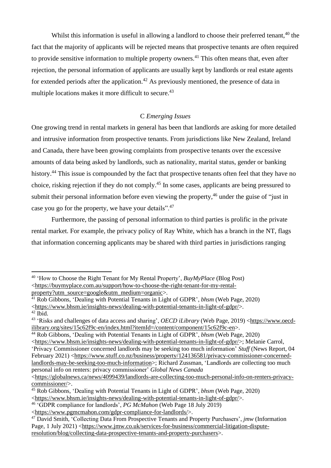Whilst this information is useful in allowing a landlord to choose their preferred tenant.<sup>40</sup> the fact that the majority of applicants will be rejected means that prospective tenants are often required to provide sensitive information to multiple property owners.<sup>41</sup> This often means that, even after rejection, the personal information of applicants are usually kept by landlords or real estate agents for extended periods after the application.<sup>42</sup> As previously mentioned, the presence of data in multiple locations makes it more difficult to secure.<sup>43</sup>

# C *Emerging Issues*

One growing trend in rental markets in general has been that landlords are asking for more detailed and intrusive information from prospective tenants. From jurisdictions like New Zealand, Ireland and Canada, there have been growing complaints from prospective tenants over the excessive amounts of data being asked by landlords, such as nationality, marital status, gender or banking history.<sup>44</sup> This issue is compounded by the fact that prospective tenants often feel that they have no choice, risking rejection if they do not comply.<sup>45</sup> In some cases, applicants are being pressured to submit their personal information before even viewing the property,<sup>46</sup> under the guise of "just in case you go for the property, we have your details".<sup>47</sup>

Furthermore, the passing of personal information to third parties is prolific in the private rental market. For example, the privacy policy of Ray White, which has a branch in the NT, flags that information concerning applicants may be shared with third parties in jurisdictions ranging

<sup>40</sup> 'How to Choose the Right Tenant for My Rental Property', *BuyMyPlace* (Blog Post) [<https://buymyplace.com.au/support/how-to-choose-the-right-tenant-for-my-rental](https://buymyplace.com.au/support/how-to-choose-the-right-tenant-for-my-rental-property?utm_source=google&utm_medium=organic)[property?utm\\_source=google&utm\\_medium=organic>](https://buymyplace.com.au/support/how-to-choose-the-right-tenant-for-my-rental-property?utm_source=google&utm_medium=organic).

<sup>41</sup> Rob Gibbons, 'Dealing with Potential Tenants in Light of GDPR', *bhsm* (Web Page, 2020) [<https://www.bhsm.ie/insights-news/dealing-with-potential-tenants-in-light-of-gdpr/>](https://www.bhsm.ie/insights-news/dealing-with-potential-tenants-in-light-of-gdpr/).  $42$  Ibid.

<sup>43</sup> 'Risks and challenges of data access and sharing', *OECD iLibrary* (Web Page, 2019) [<https://www.oecd](https://www.oecd-ilibrary.org/sites/15c62f9c-en/index.html?itemId=/content/component/15c62f9c-en)[ilibrary.org/sites/15c62f9c-en/index.html?itemId=/content/component/15c62f9c-en>](https://www.oecd-ilibrary.org/sites/15c62f9c-en/index.html?itemId=/content/component/15c62f9c-en).

<sup>44</sup> Rob Gibbons, 'Dealing with Potential Tenants in Light of GDPR', *bhsm* (Web Page, 2020)

[<sup>&</sup>lt;https://www.bhsm.ie/insights-news/dealing-with-potential-tenants-in-light-of-gdpr/>](https://www.bhsm.ie/insights-news/dealing-with-potential-tenants-in-light-of-gdpr/); Melanie Carrol, 'Privacy Commissioner concerned landlords may be seeking too much information' *Stuff* (News Report, 04 February 2021) [<https://www.stuff.co.nz/business/property/124136581/privacy-commissioner-concerned](https://www.stuff.co.nz/business/property/124136581/privacy-commissioner-concerned-landlords-may-be-seeking-too-much-information)[landlords-may-be-seeking-too-much-information>](https://www.stuff.co.nz/business/property/124136581/privacy-commissioner-concerned-landlords-may-be-seeking-too-much-information); Richard Zussman, 'Landlords are collecting too much personal info on renters: privacy commissioner' *Global News Canada*

[<sup>&</sup>lt;https://globalnews.ca/news/4099439/landlords-are-collecting-too-much-personal-info-on-renters-privacy](https://globalnews.ca/news/4099439/landlords-are-collecting-too-much-personal-info-on-renters-privacy-commissioner/)[commissioner/>](https://globalnews.ca/news/4099439/landlords-are-collecting-too-much-personal-info-on-renters-privacy-commissioner/).

<sup>45</sup> Rob Gibbons, 'Dealing with Potential Tenants in Light of GDPR', *bhsm* (Web Page, 2020) [<https://www.bhsm.ie/insights-news/dealing-with-potential-tenants-in-light-of-gdpr/>](https://www.bhsm.ie/insights-news/dealing-with-potential-tenants-in-light-of-gdpr/).

<sup>46</sup> 'GDPR compliance for landlords', *PG McMahon* (Web Page 18 July 2019)

[<sup>&</sup>lt;https://www.pgmcmahon.com/gdpr-compliance-for-landlords/>](https://www.pgmcmahon.com/gdpr-compliance-for-landlords/).

<sup>47</sup> David Smith, 'Collecting Data From Prospective Tenants and Property Purchasers', *jmw* (Information Page, 1 July 2021) <https://www.imw.co.uk/services-for-business/commercial-litigation-dispute[resolution/blog/collecting-data-prospective-tenants-and-property-purchasers>](https://www.jmw.co.uk/services-for-business/commercial-litigation-dispute-resolution/blog/collecting-data-prospective-tenants-and-property-purchasers).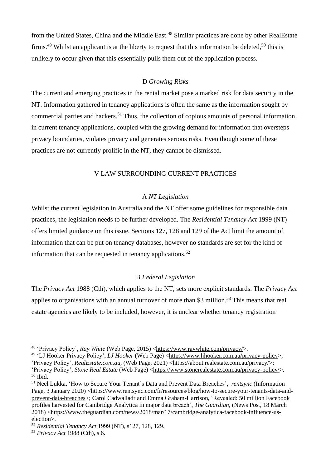from the United States, China and the Middle East.<sup>48</sup> Similar practices are done by other RealEstate firms.<sup>49</sup> Whilst an applicant is at the liberty to request that this information be deleted,<sup>50</sup> this is unlikely to occur given that this essentially pulls them out of the application process.

## D *Growing Risks*

The current and emerging practices in the rental market pose a marked risk for data security in the NT. Information gathered in tenancy applications is often the same as the information sought by commercial parties and hackers.<sup>51</sup> Thus, the collection of copious amounts of personal information in current tenancy applications, coupled with the growing demand for information that oversteps privacy boundaries, violates privacy and generates serious risks. Even though some of these practices are not currently prolific in the NT, they cannot be dismissed.

## V LAW SURROUNDING CURRENT PRACTICES

#### A *NT Legislation*

Whilst the current legislation in Australia and the NT offer some guidelines for responsible data practices, the legislation needs to be further developed. The *Residential Tenancy Act* 1999 (NT) offers limited guidance on this issue. Sections 127, 128 and 129 of the Act limit the amount of information that can be put on tenancy databases, however no standards are set for the kind of information that can be requested in tenancy applications.<sup>52</sup>

#### B *Federal Legislation*

The *Privacy Act* 1988 (Cth), which applies to the NT, sets more explicit standards. The *Privacy Act* applies to organisations with an annual turnover of more than \$3 million.<sup>53</sup> This means that real estate agencies are likely to be included, however, it is unclear whether tenancy registration

<sup>48</sup> 'Privacy Policy', *Ray White* (Web Page, 2015) [<https://www.raywhite.com/privacy/>](https://www.raywhite.com/privacy/).

<sup>49</sup> 'LJ Hooker Privacy Policy', *LJ Hooker* (Web Page) [<https://www.ljhooker.com.au/privacy-policy>](https://www.ljhooker.com.au/privacy-policy); 'Privacy Policy', *[RealEstate.com.au](http://realestate.com.au/)*, (Web Page, 2021) [<https://about.realestate.com.au/privacy/>](https://about.realestate.com.au/privacy/); 'Privacy Policy', *Stone Real Estate* (Web Page) [<https://www.stonerealestate.com.au/privacy-policy/>](https://www.stonerealestate.com.au/privacy-policy/).

 $50$  Ibid.

<sup>51</sup> Neel Lukka, 'How to Secure Your Tenant's Data and Prevent Data Breaches', *rentsync* (Information Page, 3 January 2020) [<https://www.rentsync.com/fr/resources/blog/how-to-secure-your-tenants-data-and](https://www.rentsync.com/fr/resources/blog/how-to-secure-your-tenants-data-and-prevent-data-breaches)[prevent-data-breaches>](https://www.rentsync.com/fr/resources/blog/how-to-secure-your-tenants-data-and-prevent-data-breaches); Carol Cadwalladr and Emma Graham-Harrison, 'Revealed: 50 million Facebook profiles harvested for Cambridge Analytica in major data breach', *The Guardian*, (News Post, 18 March 2018) [<https://www.theguardian.com/news/2018/mar/17/cambridge-analytica-facebook-influence-us](https://www.theguardian.com/news/2018/mar/17/cambridge-analytica-facebook-influence-us-election)[election>](https://www.theguardian.com/news/2018/mar/17/cambridge-analytica-facebook-influence-us-election).

<sup>52</sup> *Residential Tenancy Act* 1999 (NT), s127, 128, 129.

<sup>53</sup> *Privacy Act* 1988 (Cth), s 6.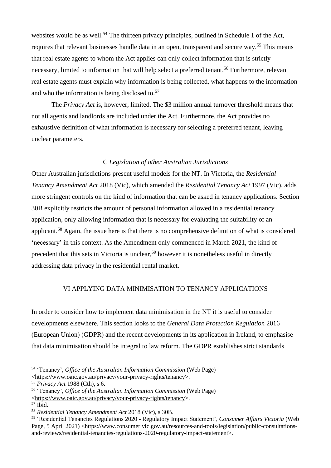websites would be as well.<sup>54</sup> The thirteen privacy principles, outlined in Schedule 1 of the Act, requires that relevant businesses handle data in an open, transparent and secure way.<sup>55</sup> This means that real estate agents to whom the Act applies can only collect information that is strictly necessary, limited to information that will help select a preferred tenant.<sup>56</sup> Furthermore, relevant real estate agents must explain why information is being collected, what happens to the information and who the information is being disclosed to.<sup>57</sup>

The *Privacy Act* is, however, limited. The \$3 million annual turnover threshold means that not all agents and landlords are included under the Act. Furthermore, the Act provides no exhaustive definition of what information is necessary for selecting a preferred tenant, leaving unclear parameters.

## C *Legislation of other Australian Jurisdictions*

Other Australian jurisdictions present useful models for the NT. In Victoria, the *Residential Tenancy Amendment Act* 2018 (Vic), which amended the *Residential Tenancy Act* 1997 (Vic), adds more stringent controls on the kind of information that can be asked in tenancy applications. Section 30B explicitly restricts the amount of personal information allowed in a residential tenancy application, only allowing information that is necessary for evaluating the suitability of an applicant.<sup>58</sup> Again, the issue here is that there is no comprehensive definition of what is considered 'necessary' in this context. As the Amendment only commenced in March 2021, the kind of precedent that this sets in Victoria is unclear,<sup>59</sup> however it is nonetheless useful in directly addressing data privacy in the residential rental market.

#### VI APPLYING DATA MINIMISATION TO TENANCY APPLICATIONS

In order to consider how to implement data minimisation in the NT it is useful to consider developments elsewhere. This section looks to the *General Data Protection Regulation* 2016 (European Union) (GDPR) and the recent developments in its application in Ireland, to emphasise that data minimisation should be integral to law reform. The GDPR establishes strict standards

<sup>54</sup> 'Tenancy', *Office of the Australian Information Commission* (Web Page) [<https://www.oaic.gov.au/privacy/your-privacy-rights/tenancy>](https://www.oaic.gov.au/privacy/your-privacy-rights/tenancy).

<sup>55</sup> *Privacy Act* 1988 (Cth), s 6.

<sup>56</sup> 'Tenancy', *Office of the Australian Information Commission* (Web Page) [<https://www.oaic.gov.au/privacy/your-privacy-rights/tenancy>](https://www.oaic.gov.au/privacy/your-privacy-rights/tenancy).

 $57$  Ibid.

<sup>58</sup> *Residential Tenancy Amendment Act* 2018 (Vic), s 30B.

<sup>59</sup> 'Residential Tenancies Regulations 2020 - Regulatory Impact Statement', *Consumer Affairs Victoria* (Web Page, 5 April 2021) [<https://www.consumer.vic.gov.au/resources-and-tools/legislation/public-consultations](https://www.consumer.vic.gov.au/resources-and-tools/legislation/public-consultations-and-reviews/residential-tenancies-regulations-2020-regulatory-impact-statement)[and-reviews/residential-tenancies-regulations-2020-regulatory-impact-statement>](https://www.consumer.vic.gov.au/resources-and-tools/legislation/public-consultations-and-reviews/residential-tenancies-regulations-2020-regulatory-impact-statement).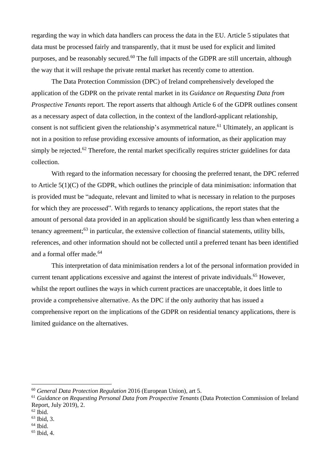regarding the way in which data handlers can process the data in the EU. Article 5 stipulates that data must be processed fairly and transparently, that it must be used for explicit and limited purposes, and be reasonably secured.<sup>60</sup> The full impacts of the GDPR are still uncertain, although the way that it will reshape the private rental market has recently come to attention.

The Data Protection Commission (DPC) of Ireland comprehensively developed the application of the GDPR on the private rental market in its *Guidance on Requesting Data from Prospective Tenants* report. The report asserts that although Article 6 of the GDPR outlines consent as a necessary aspect of data collection, in the context of the landlord-applicant relationship, consent is not sufficient given the relationship's asymmetrical nature.<sup>61</sup> Ultimately, an applicant is not in a position to refuse providing excessive amounts of information, as their application may simply be rejected.<sup>62</sup> Therefore, the rental market specifically requires stricter guidelines for data collection.

With regard to the information necessary for choosing the preferred tenant, the DPC referred to Article 5(1)(C) of the GDPR, which outlines the principle of data minimisation: information that is provided must be "adequate, relevant and limited to what is necessary in relation to the purposes for which they are processed". With regards to tenancy applications, the report states that the amount of personal data provided in an application should be significantly less than when entering a tenancy agreement;<sup>63</sup> in particular, the extensive collection of financial statements, utility bills, references, and other information should not be collected until a preferred tenant has been identified and a formal offer made.<sup>64</sup>

This interpretation of data minimisation renders a lot of the personal information provided in current tenant applications excessive and against the interest of private individuals.<sup>65</sup> However, whilst the report outlines the ways in which current practices are unacceptable, it does little to provide a comprehensive alternative. As the DPC if the only authority that has issued a comprehensive report on the implications of the GDPR on residential tenancy applications, there is limited guidance on the alternatives.

- $62$  Ibid.
- <sup>63</sup> Ibid, 3.
- $64$  Ibid.

<sup>60</sup> *General Data Protection Regulation* 2016 (European Union), art 5.

<sup>61</sup> *Guidance on Requesting Personal Data from Prospective Tenants* (Data Protection Commission of Ireland Report, July 2019), 2.

<sup>65</sup> Ibid, 4.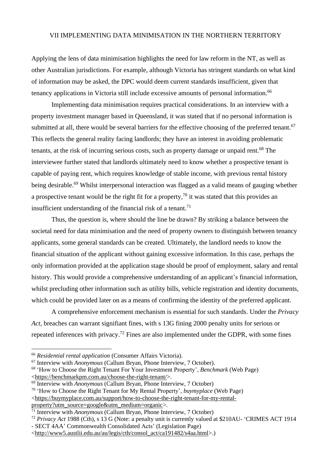## VII IMPLEMENTING DATA MINIMISATION IN THE NORTHERN TERRITORY

Applying the lens of data minimisation highlights the need for law reform in the NT, as well as other Australian jurisdictions. For example, although Victoria has stringent standards on what kind of information may be asked, the DPC would deem current standards insufficient, given that tenancy applications in Victoria still include excessive amounts of personal information.<sup>66</sup>

Implementing data minimisation requires practical considerations. In an interview with a property investment manager based in Queensland, it was stated that if no personal information is submitted at all, there would be several barriers for the effective choosing of the preferred tenant.<sup>67</sup> This reflects the general reality facing landlords; they have an interest in avoiding problematic tenants, at the risk of incurring serious costs, such as property damage or unpaid rent.<sup>68</sup> The interviewee further stated that landlords ultimately need to know whether a prospective tenant is capable of paying rent, which requires knowledge of stable income, with previous rental history being desirable.<sup>69</sup> Whilst interpersonal interaction was flagged as a valid means of gauging whether a prospective tenant would be the right fit for a property,<sup>70</sup> it was stated that this provides an insufficient understanding of the financial risk of a tenant.<sup>71</sup>

Thus, the question is, where should the line be drawn? By striking a balance between the societal need for data minimisation and the need of property owners to distinguish between tenancy applicants, some general standards can be created. Ultimately, the landlord needs to know the financial situation of the applicant without gaining excessive information. In this case, perhaps the only information provided at the application stage should be proof of employment, salary and rental history. This would provide a comprehensive understanding of an applicant's financial information, whilst precluding other information such as utility bills, vehicle registration and identity documents, which could be provided later on as a means of confirming the identity of the preferred applicant.

A comprehensive enforcement mechanism is essential for such standards. Under the *Privacy Act,* breaches can warrant signifiant fines, with s 13G fining 2000 penalty units for serious or repeated inferences with privacy.<sup>72</sup> Fines are also implemented under the GDPR, with some fines

<sup>66</sup> *Residential rental application* (Consumer Affairs Victoria).

<sup>67</sup> Interview with *Anonymous* (Callum Bryan, Phone Interview, 7 October).

<sup>68</sup> 'How to Choose the Right Tenant For Your Investment Property', *Benchmark* (Web Page) [<https://benchmarkpm.com.au/choose-the-right-tenant/>](https://benchmarkpm.com.au/choose-the-right-tenant/).

<sup>69</sup> Interview with *Anonymous* (Callum Bryan, Phone Interview, 7 October)

<sup>70</sup> 'How to Choose the Right Tenant for My Rental Property', *buymyplace* (Web Page) [<https://buymyplace.com.au/support/how-to-choose-the-right-tenant-for-my-rental](https://buymyplace.com.au/support/how-to-choose-the-right-tenant-for-my-rental-property?utm_source=google&utm_medium=organic)[property?utm\\_source=google&utm\\_medium=organic>](https://buymyplace.com.au/support/how-to-choose-the-right-tenant-for-my-rental-property?utm_source=google&utm_medium=organic).

<sup>71</sup> Interview with *Anonymous* (Callum Bryan, Phone Interview, 7 October)

<sup>72</sup> *Privacy Act* 1988 (Cth), s 13 G (Note: a penalty unit is currently valued at \$210AU- 'CRIMES ACT 1914

<sup>-</sup> SECT 4AA' Commonwealth Consolidated Acts' (Legislation Page)

[<sup>&</sup>lt;http://www5.austlii.edu.au/au/legis/cth/consol\\_act/ca191482/s4aa.html>](http://www5.austlii.edu.au/au/legis/cth/consol_act/ca191482/s4aa.html).)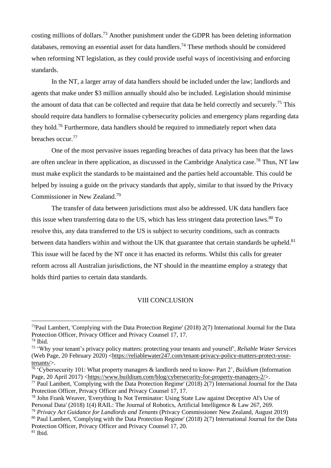costing millions of dollars.<sup>73</sup> Another punishment under the GDPR has been deleting information databases, removing an essential asset for data handlers.<sup>74</sup> These methods should be considered when reforming NT legislation, as they could provide useful ways of incentivising and enforcing standards.

In the NT, a larger array of data handlers should be included under the law; landlords and agents that make under \$3 million annually should also be included. Legislation should minimise the amount of data that can be collected and require that data be held correctly and securely.<sup>75</sup> This should require data handlers to formalise cybersecurity policies and emergency plans regarding data they hold.<sup>76</sup> Furthermore, data handlers should be required to immediately report when data breaches occur.<sup>77</sup>

One of the most pervasive issues regarding breaches of data privacy has been that the laws are often unclear in there application, as discussed in the Cambridge Analytica case.<sup>78</sup> Thus, NT law must make explicit the standards to be maintained and the parties held accountable. This could be helped by issuing a guide on the privacy standards that apply, similar to that issued by the Privacy Commissioner in New Zealand.<sup>79</sup>

The transfer of data between jurisdictions must also be addressed. UK data handlers face this issue when transferring data to the US, which has less stringent data protection laws.<sup>80</sup> To resolve this, any data transferred to the US is subject to security conditions, such as contracts between data handlers within and without the UK that guarantee that certain standards be upheld. $81$ This issue will be faced by the NT once it has enacted its reforms. Whilst this calls for greater reform across all Australian jurisdictions, the NT should in the meantime employ a strategy that holds third parties to certain data standards.

#### VIII CONCLUSION

<sup>73</sup>Paul Lambert, 'Complying with the Data Protection Regime' (2018) 2(7) International Journal for the Data Protection Officer, Privacy Officer and Privacy Counsel 17, 17.

 $74$  Ibid.

<sup>75</sup> 'Why your tenant's privacy policy matters: protecting your tenants and yourself', *Reliable Water Services* (Web Page, 20 February 2020) [<https://reliablewater247.com/tenant-privacy-policy-matters-protect-your](https://reliablewater247.com/tenant-privacy-policy-matters-protect-your-tenants/)[tenants/>](https://reliablewater247.com/tenant-privacy-policy-matters-protect-your-tenants/).

<sup>76</sup> 'Cybersecurity 101: What property managers & landlords need to know- Part 2', *Buildium* (Information Page, 20 April 2017) [<https://www.buildium.com/blog/cybersecurity-for-property-managers-2/>](https://www.buildium.com/blog/cybersecurity-for-property-managers-2/).

<sup>77</sup> Paul Lambert, 'Complying with the Data Protection Regime' (2018) 2(7) International Journal for the Data Protection Officer, Privacy Officer and Privacy Counsel 17, 17.

<sup>&</sup>lt;sup>78</sup> John Frank Weaver, 'Everything Is Not Terminator: Using State Law against Deceptive Al's Use of Personal Data' (2018) 1(4) RAIL: The Journal of Robotics, Artificial Intelligence & Law 267, 269.

<sup>79</sup> *Privacy Act Guidance for Landlords and Tenants* (Privacy Commissioner New Zealand, August 2019)

<sup>&</sup>lt;sup>80</sup> Paul Lambert, 'Complying with the Data Protection Regime' (2018) 2(7) International Journal for the Data Protection Officer, Privacy Officer and Privacy Counsel 17, 20.

 $81$  Ibid.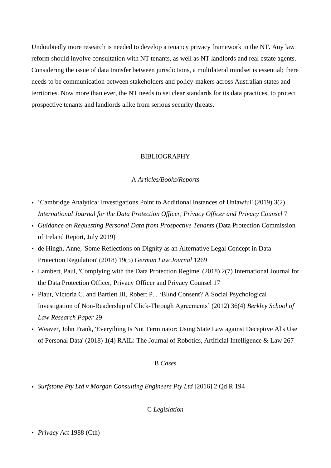Undoubtedly more research is needed to develop a tenancy privacy framework in the NT. Any law reform should involve consultation with NT tenants, as well as NT landlords and real estate agents. Considering the issue of data transfer between jurisdictions, a multilateral mindset is essential; there needs to be communication between stakeholders and policy-makers across Australian states and territories. Now more than ever, the NT needs to set clear standards for its data practices, to protect prospective tenants and landlords alike from serious security threats.

## BIBLIOGRAPHY

#### A *Articles/Books/Reports*

- 'Cambridge Analytica: Investigations Point to Additional Instances of Unlawful' (2019) 3(2) *International Journal for the Data Protection Officer, Privacy Officer and Privacy Counsel* 7
- *Guidance on Requesting Personal Data from Prospective Tenants* (Data Protection Commission of Ireland Report, July 2019)
- de Hingh, Anne, 'Some Reflections on Dignity as an Alternative Legal Concept in Data Protection Regulation' (2018) 19(5) *German Law Journal* 1269
- Lambert, Paul, 'Complying with the Data Protection Regime' (2018) 2(7) International Journal for the Data Protection Officer, Privacy Officer and Privacy Counsel 17
- Plaut, Victoria C. and Bartlett III, Robert P. , 'Blind Consent? A Social Psychological Investigation of Non-Readership of Click-Through Agreements' (2012) 36(4) *Berkley School of Law Research Paper* 29
- Weaver, John Frank, 'Everything Is Not Terminator: Using State Law against Deceptive Al's Use of Personal Data' (2018) 1(4) RAIL: The Journal of Robotics, Artificial Intelligence & Law 267

#### B *Cases*

• *Surfstone Pty Ltd v Morgan Consulting Engineers Pty Ltd* [2016] 2 Qd R 194

C *Legislation*

• *Privacy Act* 1988 (Cth)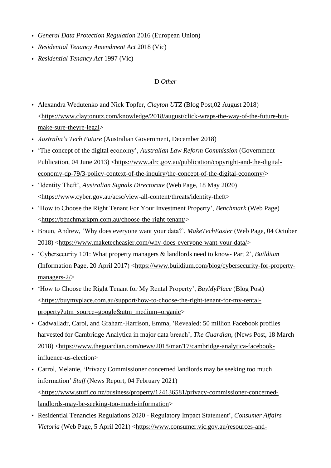- *General Data Protection Regulation* 2016 (European Union)
- *Residential Tenancy Amendment Act* 2018 (Vic)
- *Residential Tenancy Act* 1997 (Vic)

## D *Other*

- Alexandra Wedutenko and Nick Topfer, *Clayton UTZ* (Blog Post,02 August 2018) [<https://www.claytonutz.com/knowledge/2018/august/click-wraps-the-way-of-the-future-but](https://www.claytonutz.com/knowledge/2018/august/click-wraps-the-way-of-the-future-but-make-sure-theyre-legal)[make-sure-theyre-legal>](https://www.claytonutz.com/knowledge/2018/august/click-wraps-the-way-of-the-future-but-make-sure-theyre-legal)
- *Australia's Tech Future* (Australian Government, December 2018)
- 'The concept of the digital economy', *Australian Law Reform Commission* (Government Publication, 04 June 2013) [<https://www.alrc.gov.au/publication/copyright-and-the-digital](https://www.alrc.gov.au/publication/copyright-and-the-digital-economy-dp-79/3-policy-context-of-the-inquiry/the-concept-of-the-digital-economy/)[economy-dp-79/3-policy-context-of-the-inquiry/the-concept-of-the-digital-economy/>](https://www.alrc.gov.au/publication/copyright-and-the-digital-economy-dp-79/3-policy-context-of-the-inquiry/the-concept-of-the-digital-economy/)
- 'Identity Theft', *Australian Signals Directorate* (Web Page, 18 May 2020) [<https://www.cyber.gov.au/acsc/view-all-content/threats/identity-theft>](https://www.cyber.gov.au/acsc/view-all-content/threats/identity-theft)
- 'How to Choose the Right Tenant For Your Investment Property', *Benchmark* (Web Page) [<https://benchmarkpm.com.au/choose-the-right-tenant/>](https://benchmarkpm.com.au/choose-the-right-tenant/)
- Braun, Andrew, 'Why does everyone want your data?', *MakeTechEasier* (Web Page, 04 October 2018) [<https://www.maketecheasier.com/why-does-everyone-want-your-data/>](https://www.maketecheasier.com/why-does-everyone-want-your-data/)
- 'Cybersecurity 101: What property managers & landlords need to know- Part 2', *Buildium* (Information Page, 20 April 2017) [<https://www.buildium.com/blog/cybersecurity-for-property](https://www.buildium.com/blog/cybersecurity-for-property-managers-2/)[managers-2/>](https://www.buildium.com/blog/cybersecurity-for-property-managers-2/)
- 'How to Choose the Right Tenant for My Rental Property', *BuyMyPlace* (Blog Post) [<https://buymyplace.com.au/support/how-to-choose-the-right-tenant-for-my-rental](https://buymyplace.com.au/support/how-to-choose-the-right-tenant-for-my-rental-property?utm_source=google&utm_medium=organic)[property?utm\\_source=google&utm\\_medium=organic>](https://buymyplace.com.au/support/how-to-choose-the-right-tenant-for-my-rental-property?utm_source=google&utm_medium=organic)
- Cadwalladr, Carol, and Graham-Harrison, Emma, 'Revealed: 50 million Facebook profiles harvested for Cambridge Analytica in major data breach', *The Guardian*, (News Post, 18 March 2018) [<https://www.theguardian.com/news/2018/mar/17/cambridge-analytica-facebook](https://www.theguardian.com/news/2018/mar/17/cambridge-analytica-facebook-influence-us-election)[influence-us-election>](https://www.theguardian.com/news/2018/mar/17/cambridge-analytica-facebook-influence-us-election)
- Carrol, Melanie, 'Privacy Commissioner concerned landlords may be seeking too much information' *Stuff* (News Report, 04 February 2021) [<https://www.stuff.co.nz/business/property/124136581/privacy-commissioner-concerned](https://www.stuff.co.nz/business/property/124136581/privacy-commissioner-concerned-landlords-may-be-seeking-too-much-information)[landlords-may-be-seeking-too-much-information>](https://www.stuff.co.nz/business/property/124136581/privacy-commissioner-concerned-landlords-may-be-seeking-too-much-information)
- Residential Tenancies Regulations 2020 Regulatory Impact Statement', *Consumer Affairs Victoria* (Web Page, 5 April 2021) [<https://www.consumer.vic.gov.au/resources-and-](https://www.consumer.vic.gov.au/resources-and-tools/legislation/public-consultations-and-reviews/residential-tenancies-regulations-2020-regulatory-impact-statement)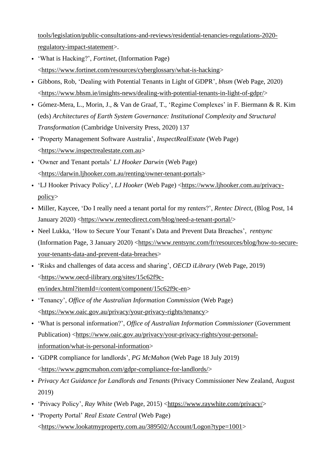[tools/legislation/public-consultations-and-reviews/residential-tenancies-regulations-2020](https://www.consumer.vic.gov.au/resources-and-tools/legislation/public-consultations-and-reviews/residential-tenancies-regulations-2020-regulatory-impact-statement) [regulatory-impact-statement>](https://www.consumer.vic.gov.au/resources-and-tools/legislation/public-consultations-and-reviews/residential-tenancies-regulations-2020-regulatory-impact-statement).

- 'What is Hacking?', *Fortinet*, (Information Page) [<https://www.fortinet.com/resources/cyberglossary/what-is-hacking>](https://www.fortinet.com/resources/cyberglossary/what-is-hacking)
- Gibbons, Rob, 'Dealing with Potential Tenants in Light of GDPR', *bhsm* (Web Page, 2020) [<https://www.bhsm.ie/insights-news/dealing-with-potential-tenants-in-light-of-gdpr/>](https://www.bhsm.ie/insights-news/dealing-with-potential-tenants-in-light-of-gdpr/)
- Gómez-Mera, L., Morin, J., & Van de Graaf, T., 'Regime Complexes' in F. Biermann & R. Kim (eds) *Architectures of Earth System Governance: Institutional Complexity and Structural Transformation* (Cambridge University Press, 2020) 137
- 'Property Management Software Australia', *InspectRealEstate* (Web Page) [<https://www.inspectrealestate.com.au>](https://www.inspectrealestate.com.au/)
- 'Owner and Tenant portals' *LJ Hooker Darwin* (Web Page) [<https://darwin.ljhooker.com.au/renting/owner-tenant-portals>](https://darwin.ljhooker.com.au/renting/owner-tenant-portals)
- 'LJ Hooker Privacy Policy', *LJ Hooker* (Web Page) [<https://www.ljhooker.com.au/privacy](https://www.ljhooker.com.au/privacy-policy)[policy>](https://www.ljhooker.com.au/privacy-policy)
- Miller, Kaycee, 'Do I really need a tenant portal for my renters?', *Rentec Direct*, (Blog Post, 14 January 2020) [<https://www.rentecdirect.com/blog/need-a-tenant-portal/>](https://www.rentecdirect.com/blog/need-a-tenant-portal/)
- Neel Lukka, 'How to Secure Your Tenant's Data and Prevent Data Breaches', *rentsync* (Information Page, 3 January 2020) [<https://www.rentsync.com/fr/resources/blog/how-to-secure](https://www.rentsync.com/fr/resources/blog/how-to-secure-your-tenants-data-and-prevent-data-breaches)[your-tenants-data-and-prevent-data-breaches>](https://www.rentsync.com/fr/resources/blog/how-to-secure-your-tenants-data-and-prevent-data-breaches)
- 'Risks and challenges of data access and sharing', *OECD iLibrary* (Web Page, 2019) [<https://www.oecd-ilibrary.org/sites/15c62f9c](https://www.oecd-ilibrary.org/sites/15c62f9c-en/index.html?itemId=/content/component/15c62f9c-en)[en/index.html?itemId=/content/component/15c62f9c-en>](https://www.oecd-ilibrary.org/sites/15c62f9c-en/index.html?itemId=/content/component/15c62f9c-en)
- 'Tenancy', *Office of the Australian Information Commission* (Web Page) [<https://www.oaic.gov.au/privacy/your-privacy-rights/tenancy>](https://www.oaic.gov.au/privacy/your-privacy-rights/tenancy)
- 'What is personal information?', *Office of Australian Information Commissioner* (Government Publication) [<https://www.oaic.gov.au/privacy/your-privacy-rights/your-personal](https://www.oaic.gov.au/privacy/your-privacy-rights/your-personal-information/what-is-personal-information)[information/what-is-personal-information>](https://www.oaic.gov.au/privacy/your-privacy-rights/your-personal-information/what-is-personal-information)
- 'GDPR compliance for landlords', *PG McMahon* (Web Page 18 July 2019) [<https://www.pgmcmahon.com/gdpr-compliance-for-landlords/>](https://www.pgmcmahon.com/gdpr-compliance-for-landlords/)
- *Privacy Act Guidance for Landlords and Tenants* (Privacy Commissioner New Zealand, August 2019)
- 'Privacy Policy', *Ray White* (Web Page, 2015) [<https://www.raywhite.com/privacy/>](https://www.raywhite.com/privacy/)
- 'Property Portal' *Real Estate Central* (Web Page) [<https://www.lookatmyproperty.com.au/389502/Account/Logon?type=1001>](https://www.lookatmyproperty.com.au/389502/Account/Logon?type=1001)